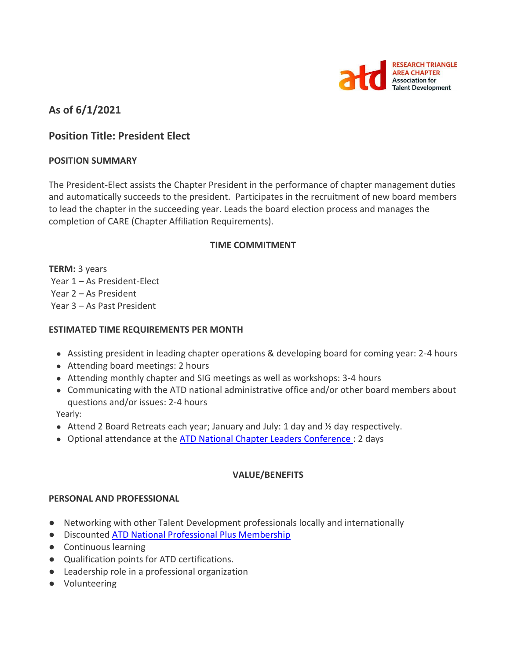

# **As of 6/1/2021**

# **Position Title: President Elect**

### **POSITION SUMMARY**

The President-Elect assists the Chapter President in the performance of chapter management duties and automatically succeeds to the president. Participates in the recruitment of new board members to lead the chapter in the succeeding year. Leads the board election process and manages the completion of CARE (Chapter Affiliation Requirements).

## **TIME COMMITMENT**

**TERM:** 3 years Year 1 – As President-Elect Year 2 – As President Year 3 – As Past President

### **ESTIMATED TIME REQUIREMENTS PER MONTH**

- Assisting president in leading chapter operations & developing board for coming year: 2-4 hours
- Attending board meetings: 2 hours
- Attending monthly chapter and SIG meetings as well as workshops: 3-4 hours
- Communicating with the ATD national administrative office and/or other board members about questions and/or issues: 2-4 hours

Yearly:

- Attend 2 Board Retreats each year; January and July: 1 day and  $\frac{1}{2}$  day respectively.
- Optional attendance at the ATD National [Chapter Leaders Conference :](https://events.td.org/Chapter-Leaders-Conference) 2 days

### **VALUE/BENEFITS**

### **PERSONAL AND PROFESSIONAL**

- Networking with other Talent Development professionals locally and internationally
- Discounted [ATD National Professional Plus Membership](https://checkout.td.org/Membership)
- Continuous learning
- Qualification points for ATD certifications.
- Leadership role in a professional organization
- Volunteering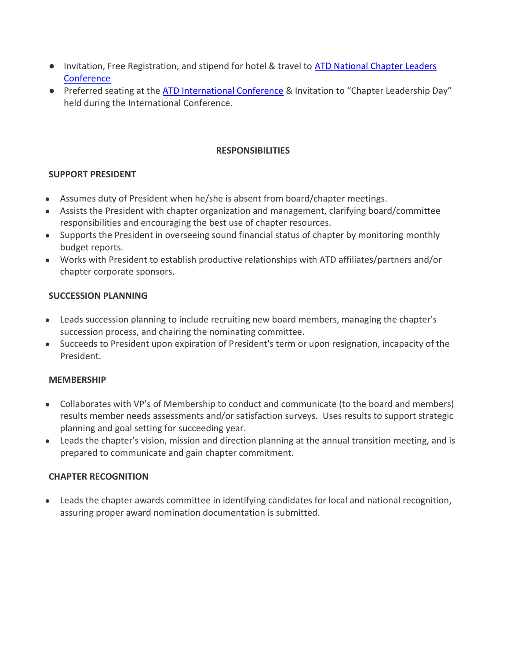- Invitation, Free Registration, and stipend for hotel & travel to ATD National Chapter Leaders **Conference**
- Preferred seating at the [ATD International Conference](https://www.td.org/events) & Invitation to "Chapter Leadership Day" held during the International Conference.

## **RESPONSIBILITIES**

# **SUPPORT PRESIDENT**

- Assumes duty of President when he/she is absent from board/chapter meetings.
- Assists the President with chapter organization and management, clarifying board/committee responsibilities and encouraging the best use of chapter resources.
- Supports the President in overseeing sound financial status of chapter by monitoring monthly budget reports.
- Works with President to establish productive relationships with ATD affiliates/partners and/or chapter corporate sponsors.

# **SUCCESSION PLANNING**

- Leads succession planning to include recruiting new board members, managing the chapter's succession process, and chairing the nominating committee.
- Succeeds to President upon expiration of President's term or upon resignation, incapacity of the President.

# **MEMBERSHIP**

- Collaborates with VP's of Membership to conduct and communicate (to the board and members) results member needs assessments and/or satisfaction surveys. Uses results to support strategic planning and goal setting for succeeding year.
- Leads the chapter's vision, mission and direction planning at the annual transition meeting, and is prepared to communicate and gain chapter commitment.

# **CHAPTER RECOGNITION**

● Leads the chapter awards committee in identifying candidates for local and national recognition, assuring proper award nomination documentation is submitted.